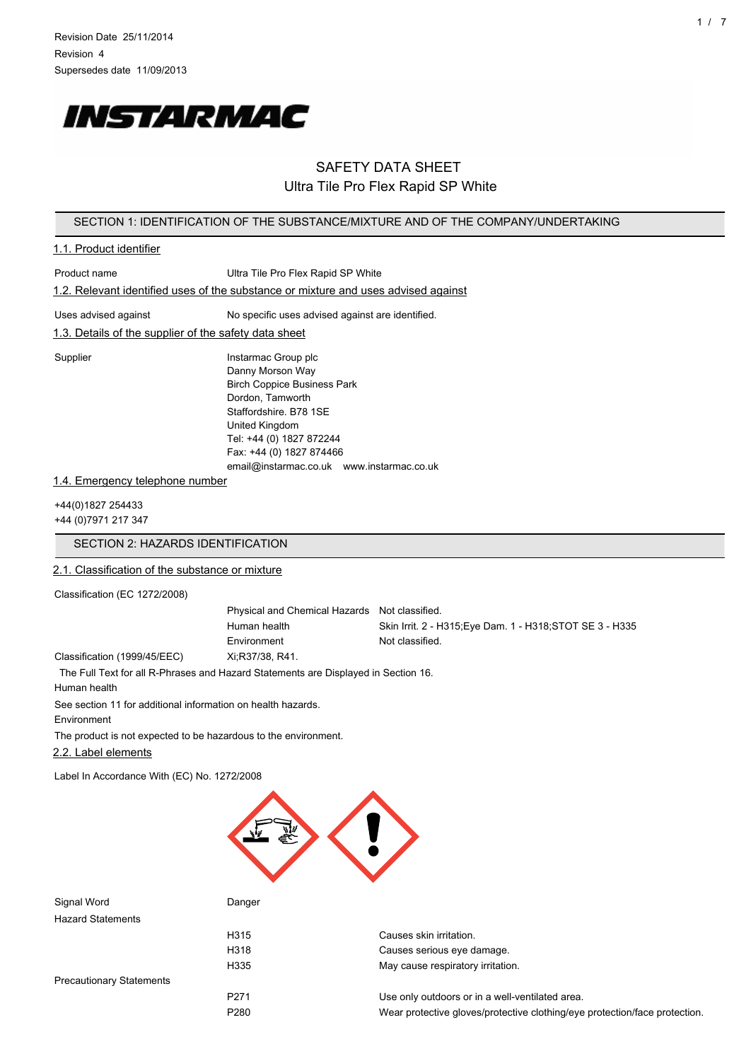

# SAFETY DATA SHEET Ultra Tile Pro Flex Rapid SP White

### SECTION 1: IDENTIFICATION OF THE SUBSTANCE/MIXTURE AND OF THE COMPANY/UNDERTAKING

# 1.1. Product identifier Product name View Ultra Tile Pro Flex Rapid SP White 1.2. Relevant identified uses of the substance or mixture and uses advised against Uses advised against No specific uses advised against are identified. 1.3. Details of the supplier of the safety data sheet Supplier **Instarmac Group plc** Danny Morson Way Birch Coppice Business Park Dordon, Tamworth Staffordshire. B78 1SE United Kingdom Tel: +44 (0) 1827 872244 Fax: +44 (0) 1827 874466 email@instarmac.co.uk www.instarmac.co.uk

#### 1.4. Emergency telephone number

+44(0)1827 254433 +44 (0)7971 217 347

## SECTION 2: HAZARDS IDENTIFICATION

## 2.1. Classification of the substance or mixture

Classification (EC 1272/2008)

Physical and Chemical Hazards Not classified. Human health Skin Irrit. 2 - H315;Eye Dam. 1 - H318;STOT SE 3 - H335 Environment Not classified. Classification (1999/45/EEC) Xi;R37/38, R41.

The Full Text for all R-Phrases and Hazard Statements are Displayed in Section 16.

Human health

See section 11 for additional information on health hazards.

Environment

The product is not expected to be hazardous to the environment.

2.2. Label elements

Label In Accordance With (EC) No. 1272/2008



| Signal Word                     | Danger           |                                                                            |
|---------------------------------|------------------|----------------------------------------------------------------------------|
| <b>Hazard Statements</b>        |                  |                                                                            |
|                                 | H315             | Causes skin irritation.                                                    |
|                                 | H318             | Causes serious eye damage.                                                 |
|                                 | H335             | May cause respiratory irritation.                                          |
| <b>Precautionary Statements</b> |                  |                                                                            |
|                                 | P <sub>271</sub> | Use only outdoors or in a well-ventilated area.                            |
|                                 | P <sub>280</sub> | Wear protective gloves/protective clothing/eye protection/face protection. |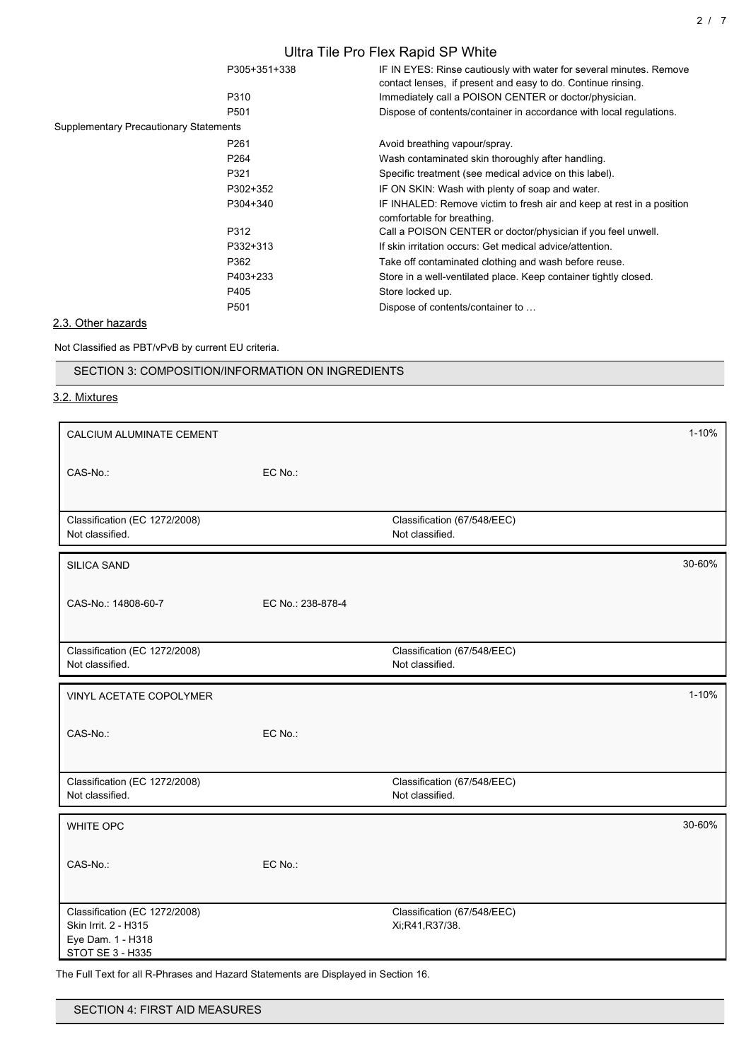|                                               |                  | Ultra Tile Pro Flex Rapid SP White                                                                                                  |
|-----------------------------------------------|------------------|-------------------------------------------------------------------------------------------------------------------------------------|
|                                               | P305+351+338     | IF IN EYES: Rinse cautiously with water for several minutes. Remove<br>contact lenses, if present and easy to do. Continue rinsing. |
|                                               | P310             | Immediately call a POISON CENTER or doctor/physician.                                                                               |
|                                               | P <sub>501</sub> | Dispose of contents/container in accordance with local regulations.                                                                 |
| <b>Supplementary Precautionary Statements</b> |                  |                                                                                                                                     |
|                                               | P <sub>261</sub> | Avoid breathing vapour/spray.                                                                                                       |
|                                               | P <sub>264</sub> | Wash contaminated skin thoroughly after handling.                                                                                   |
|                                               | P321             | Specific treatment (see medical advice on this label).                                                                              |
|                                               | P302+352         | IF ON SKIN: Wash with plenty of soap and water.                                                                                     |
|                                               | P304+340         | IF INHALED: Remove victim to fresh air and keep at rest in a position<br>comfortable for breathing.                                 |
|                                               | P312             | Call a POISON CENTER or doctor/physician if you feel unwell.                                                                        |
|                                               | P332+313         | If skin irritation occurs: Get medical advice/attention.                                                                            |
|                                               | P362             | Take off contaminated clothing and wash before reuse.                                                                               |
|                                               | P403+233         | Store in a well-ventilated place. Keep container tightly closed.                                                                    |
|                                               | P405             | Store locked up.                                                                                                                    |
|                                               | P501             | Dispose of contents/container to                                                                                                    |

## 2.3. Other hazards

Not Classified as PBT/vPvB by current EU criteria.

SECTION 3: COMPOSITION/INFORMATION ON INGREDIENTS

## 3.2. Mixtures

| CALCIUM ALUMINATE CEMENT                                                                       |                   |                                                | $1 - 10%$ |
|------------------------------------------------------------------------------------------------|-------------------|------------------------------------------------|-----------|
| CAS-No.:                                                                                       | EC No.:           |                                                |           |
| Classification (EC 1272/2008)<br>Not classified.                                               |                   | Classification (67/548/EEC)<br>Not classified. |           |
| <b>SILICA SAND</b>                                                                             |                   |                                                | 30-60%    |
| CAS-No.: 14808-60-7                                                                            | EC No.: 238-878-4 |                                                |           |
| Classification (EC 1272/2008)<br>Not classified.                                               |                   | Classification (67/548/EEC)<br>Not classified. |           |
| VINYL ACETATE COPOLYMER                                                                        |                   |                                                | $1 - 10%$ |
| CAS-No.:                                                                                       | EC No.:           |                                                |           |
| Classification (EC 1272/2008)<br>Not classified.                                               |                   | Classification (67/548/EEC)<br>Not classified. |           |
| WHITE OPC                                                                                      |                   |                                                | 30-60%    |
| CAS-No.:                                                                                       | EC No.:           |                                                |           |
| Classification (EC 1272/2008)<br>Skin Irrit. 2 - H315<br>Eye Dam. 1 - H318<br>STOT SE 3 - H335 |                   | Classification (67/548/EEC)<br>Xi;R41,R37/38.  |           |

The Full Text for all R-Phrases and Hazard Statements are Displayed in Section 16.

| SECTION 4: FIRST AID MEASURES |  |  |  |
|-------------------------------|--|--|--|
|-------------------------------|--|--|--|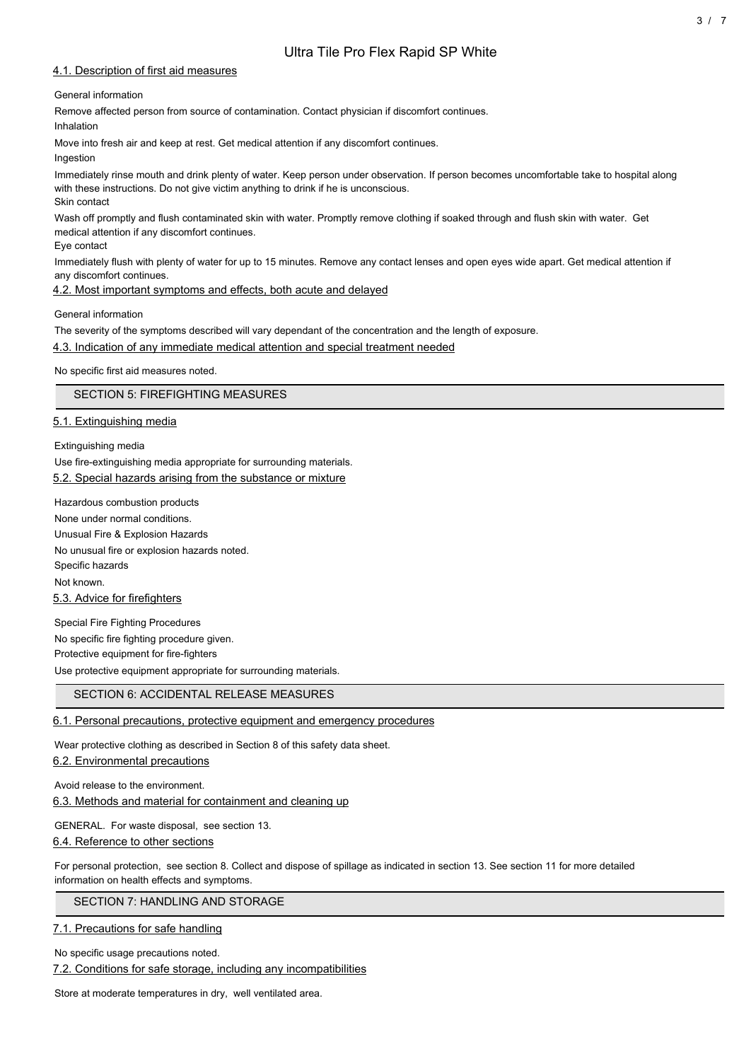## 4.1. Description of first aid measures

### General information

Remove affected person from source of contamination. Contact physician if discomfort continues.

Inhalation

Move into fresh air and keep at rest. Get medical attention if any discomfort continues.

Ingestion

Immediately rinse mouth and drink plenty of water. Keep person under observation. If person becomes uncomfortable take to hospital along with these instructions. Do not give victim anything to drink if he is unconscious. Skin contact

Wash off promptly and flush contaminated skin with water. Promptly remove clothing if soaked through and flush skin with water. Get medical attention if any discomfort continues.

Eye contact

Immediately flush with plenty of water for up to 15 minutes. Remove any contact lenses and open eyes wide apart. Get medical attention if any discomfort continues.

## 4.2. Most important symptoms and effects, both acute and delayed

General information

The severity of the symptoms described will vary dependant of the concentration and the length of exposure.

4.3. Indication of any immediate medical attention and special treatment needed

No specific first aid measures noted.

SECTION 5: FIREFIGHTING MEASURES

## 5.1. Extinguishing media

Extinguishing media

Use fire-extinguishing media appropriate for surrounding materials.

5.2. Special hazards arising from the substance or mixture

Hazardous combustion products None under normal conditions. Unusual Fire & Explosion Hazards No unusual fire or explosion hazards noted. Specific hazards Not known. 5.3. Advice for firefighters Special Fire Fighting Procedures

No specific fire fighting procedure given. Protective equipment for fire-fighters Use protective equipment appropriate for surrounding materials.

## SECTION 6: ACCIDENTAL RELEASE MEASURES

6.1. Personal precautions, protective equipment and emergency procedures

Wear protective clothing as described in Section 8 of this safety data sheet.

6.2. Environmental precautions

Avoid release to the environment.

6.3. Methods and material for containment and cleaning up

GENERAL. For waste disposal, see section 13.

## 6.4. Reference to other sections

For personal protection, see section 8. Collect and dispose of spillage as indicated in section 13. See section 11 for more detailed information on health effects and symptoms.

## SECTION 7: HANDLING AND STORAGE

7.1. Precautions for safe handling

No specific usage precautions noted.

7.2. Conditions for safe storage, including any incompatibilities

Store at moderate temperatures in dry, well ventilated area.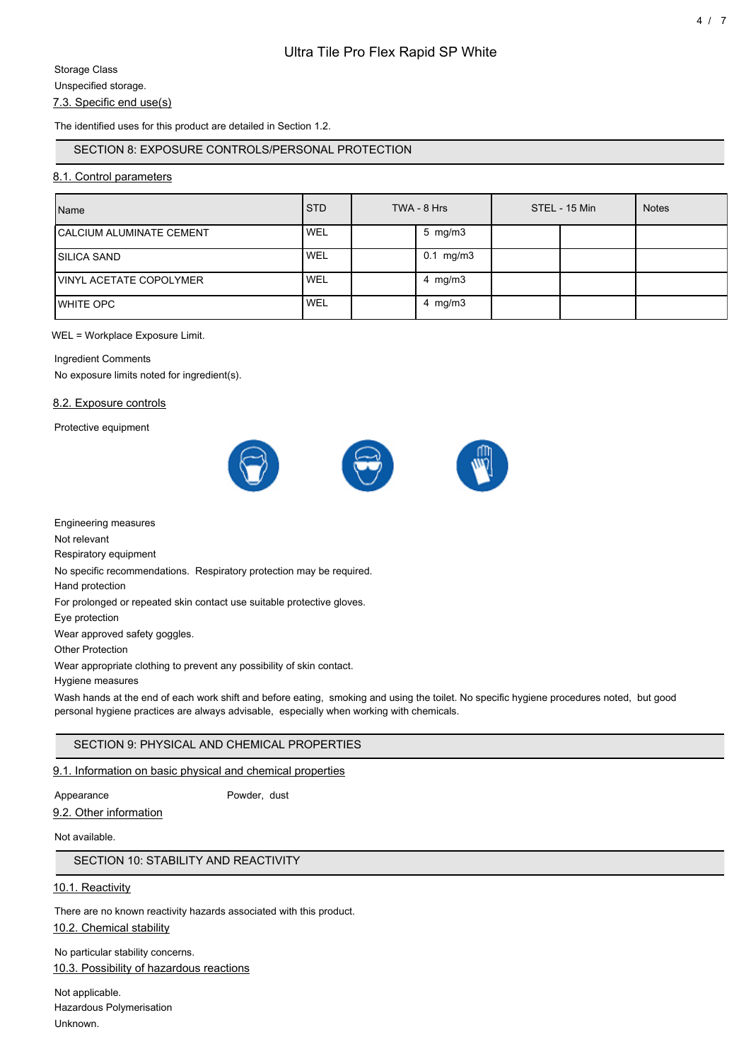# 7.3. Specific end use(s)

The identified uses for this product are detailed in Section 1.2.

## SECTION 8: EXPOSURE CONTROLS/PERSONAL PROTECTION

## 8.1. Control parameters

| Name                             | <b>STD</b> | TWA - 8 Hrs            | STEL - 15 Min | <b>Notes</b> |
|----------------------------------|------------|------------------------|---------------|--------------|
| <b>ICALCIUM ALUMINATE CEMENT</b> | <b>WEL</b> | 5 mg/m3                |               |              |
| <b>ISILICA SAND</b>              | <b>WEL</b> | $0.1 \, \text{mg/m}$ 3 |               |              |
| <b>IVINYL ACETATE COPOLYMER</b>  | 'WEL       | 4 mg/m $3$             |               |              |
| <b>IWHITE OPC</b>                | WEL        | 4 mg/m $3$             |               |              |

#### WEL = Workplace Exposure Limit.

#### Ingredient Comments

No exposure limits noted for ingredient(s).

#### 8.2. Exposure controls

Protective equipment



Engineering measures

Not relevant

Respiratory equipment

No specific recommendations. Respiratory protection may be required.

Hand protection

For prolonged or repeated skin contact use suitable protective gloves.

Eye protection

Wear approved safety goggles.

Other Protection

Wear appropriate clothing to prevent any possibility of skin contact.

Hygiene measures

Wash hands at the end of each work shift and before eating, smoking and using the toilet. No specific hygiene procedures noted, but good personal hygiene practices are always advisable, especially when working with chemicals.

## SECTION 9: PHYSICAL AND CHEMICAL PROPERTIES

#### 9.1. Information on basic physical and chemical properties

#### Appearance Powder, dust

Not available.

9.2. Other information

SECTION 10: STABILITY AND REACTIVITY

#### 10.1. Reactivity

There are no known reactivity hazards associated with this product. 10.2. Chemical stability

No particular stability concerns. 10.3. Possibility of hazardous reactions

Not applicable. Hazardous Polymerisation Unknown.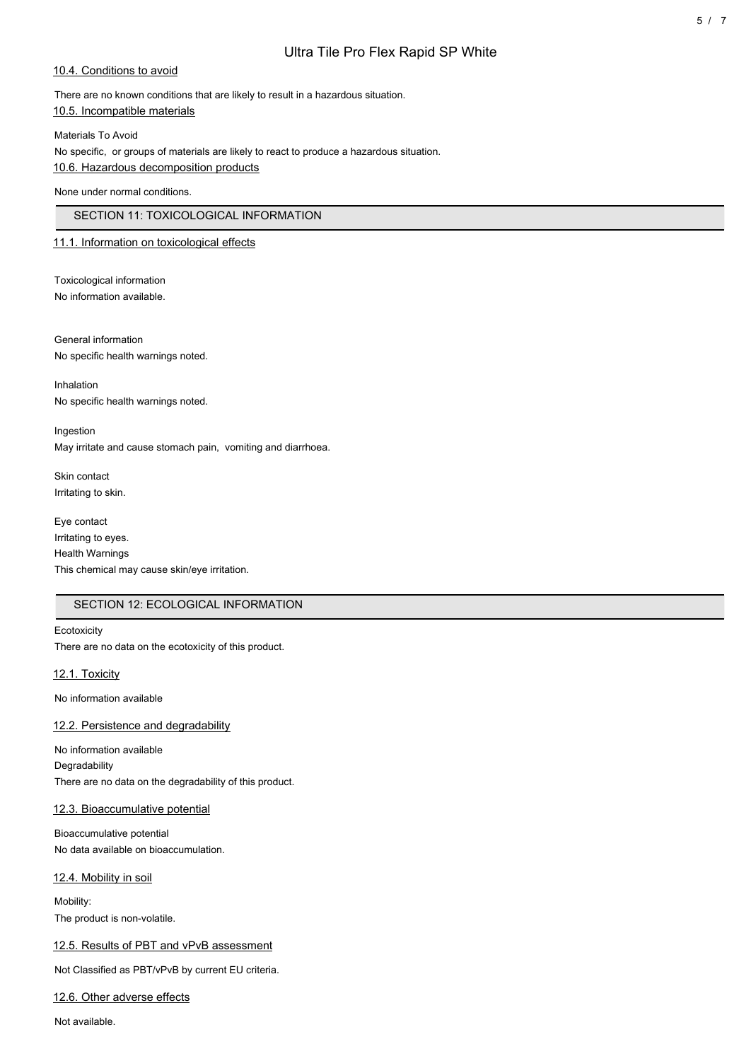# Ultra Tile Pro Flex Rapid SP White

### 10.4. Conditions to avoid

There are no known conditions that are likely to result in a hazardous situation. 10.5. Incompatible materials

Materials To Avoid

No specific, or groups of materials are likely to react to produce a hazardous situation. 10.6. Hazardous decomposition products

None under normal conditions.

## SECTION 11: TOXICOLOGICAL INFORMATION

### 11.1. Information on toxicological effects

Toxicological information No information available.

General information No specific health warnings noted.

Inhalation No specific health warnings noted.

Ingestion May irritate and cause stomach pain, vomiting and diarrhoea.

Skin contact Irritating to skin.

Eye contact Irritating to eyes. Health Warnings This chemical may cause skin/eye irritation.

## SECTION 12: ECOLOGICAL INFORMATION

**Ecotoxicity** There are no data on the ecotoxicity of this product.

12.1. Toxicity

No information available

### 12.2. Persistence and degradability

No information available Degradability There are no data on the degradability of this product.

### 12.3. Bioaccumulative potential

Bioaccumulative potential No data available on bioaccumulation.

12.4. Mobility in soil

Mobility: The product is non-volatile.

### 12.5. Results of PBT and vPvB assessment

Not Classified as PBT/vPvB by current EU criteria.

12.6. Other adverse effects

Not available.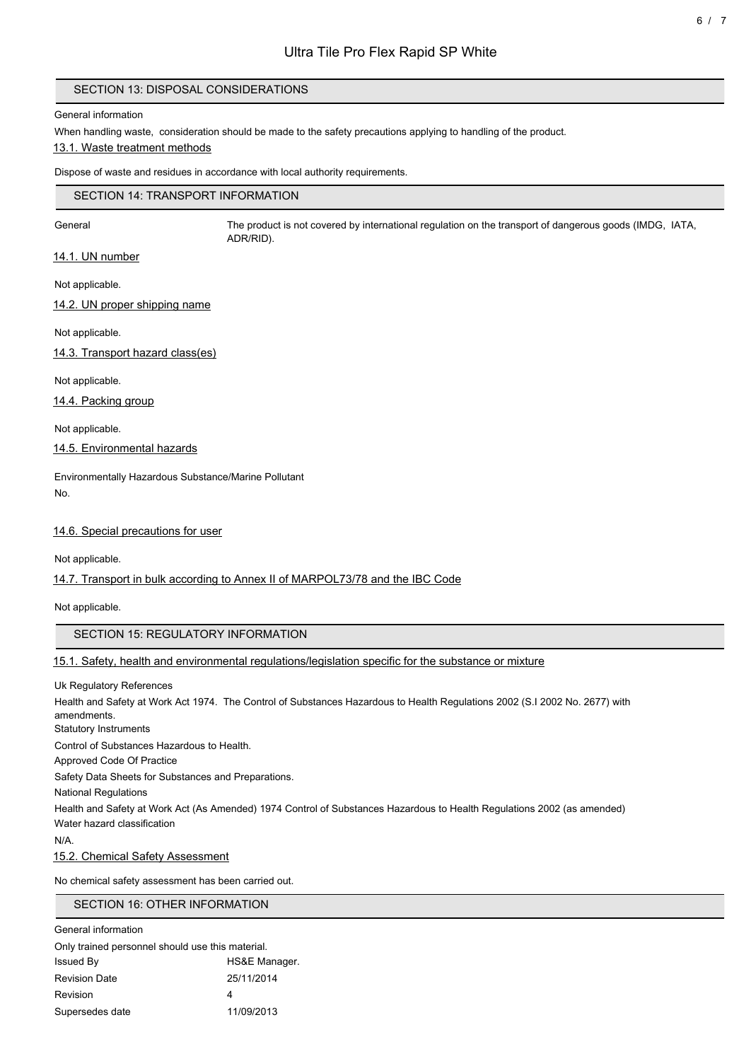## SECTION 13: DISPOSAL CONSIDERATIONS

#### General information

When handling waste, consideration should be made to the safety precautions applying to handling of the product. 13.1. Waste treatment methods

Dispose of waste and residues in accordance with local authority requirements.

## SECTION 14: TRANSPORT INFORMATION

General The product is not covered by international regulation on the transport of dangerous goods (IMDG, IATA, ADR/RID).

14.1. UN number

Not applicable.

14.2. UN proper shipping name

Not applicable.

14.3. Transport hazard class(es)

Not applicable.

14.4. Packing group

Not applicable.

14.5. Environmental hazards

Environmentally Hazardous Substance/Marine Pollutant No.

14.6. Special precautions for user

Not applicable.

14.7. Transport in bulk according to Annex II of MARPOL73/78 and the IBC Code

Not applicable.

SECTION 15: REGULATORY INFORMATION

15.1. Safety, health and environmental regulations/legislation specific for the substance or mixture

Uk Regulatory References Health and Safety at Work Act 1974. The Control of Substances Hazardous to Health Regulations 2002 (S.I 2002 No. 2677) with amendments.

Statutory Instruments

Control of Substances Hazardous to Health.

Approved Code Of Practice

Safety Data Sheets for Substances and Preparations.

National Regulations

Health and Safety at Work Act (As Amended) 1974 Control of Substances Hazardous to Health Regulations 2002 (as amended) Water hazard classification

N/A.

15.2. Chemical Safety Assessment

No chemical safety assessment has been carried out.

SECTION 16: OTHER INFORMATION

| General information                              |               |
|--------------------------------------------------|---------------|
| Only trained personnel should use this material. |               |
| Issued By                                        | HS&E Manager. |
| <b>Revision Date</b>                             | 25/11/2014    |
| Revision                                         | 4             |
| Supersedes date                                  | 11/09/2013    |